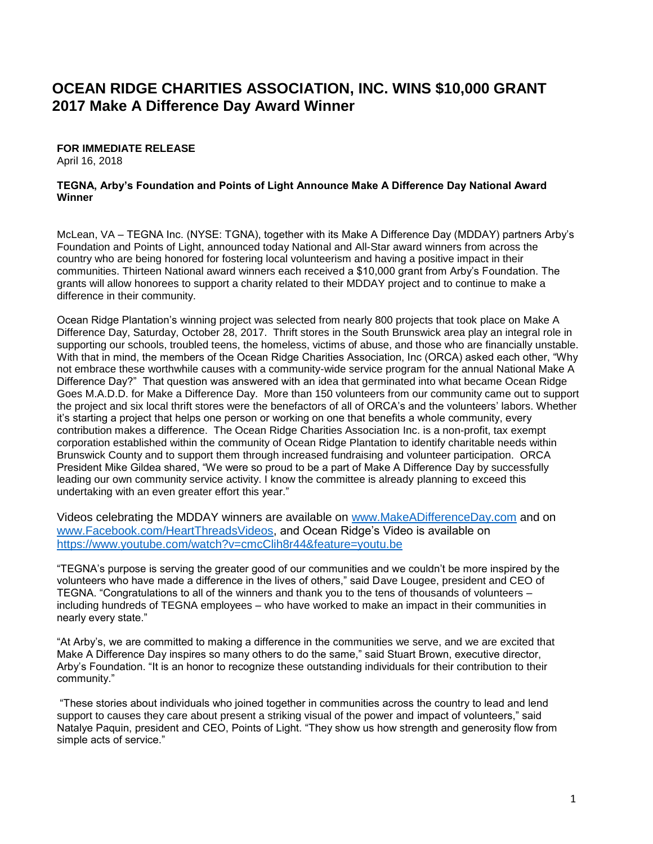## **OCEAN RIDGE CHARITIES ASSOCIATION, INC. WINS \$10,000 GRANT 2017 Make A Difference Day Award Winner**

## **FOR IMMEDIATE RELEASE**

April 16, 2018

## **TEGNA, Arby's Foundation and Points of Light Announce Make A Difference Day National Award Winner**

McLean, VA – TEGNA Inc. (NYSE: TGNA), together with its Make A Difference Day (MDDAY) partners Arby's Foundation and Points of Light, announced today National and All-Star award winners from across the country who are being honored for fostering local volunteerism and having a positive impact in their communities. Thirteen National award winners each received a \$10,000 grant from Arby's Foundation. The grants will allow honorees to support a charity related to their MDDAY project and to continue to make a difference in their community.

Ocean Ridge Plantation's winning project was selected from nearly 800 projects that took place on Make A Difference Day, Saturday, October 28, 2017. Thrift stores in the South Brunswick area play an integral role in supporting our schools, troubled teens, the homeless, victims of abuse, and those who are financially unstable. With that in mind, the members of the Ocean Ridge Charities Association, Inc (ORCA) asked each other, "Why not embrace these worthwhile causes with a community-wide service program for the annual National Make A Difference Day?" That question was answered with an idea that germinated into what became Ocean Ridge Goes M.A.D.D. for Make a Difference Day. More than 150 volunteers from our community came out to support the project and six local thrift stores were the benefactors of all of ORCA's and the volunteers' labors. Whether it's starting a project that helps one person or working on one that benefits a whole community, every contribution makes a difference. The Ocean Ridge Charities Association Inc. is a non-profit, tax exempt corporation established within the community of Ocean Ridge Plantation to identify charitable needs within Brunswick County and to support them through increased fundraising and volunteer participation. ORCA President Mike Gildea shared, "We were so proud to be a part of Make A Difference Day by successfully leading our own community service activity. I know the committee is already planning to exceed this undertaking with an even greater effort this year."

Videos celebrating the MDDAY winners are available on [www.MakeADifferenceDay.com](http://www.makeadifferenceday.com/) and on [www.Facebook.com/HeartThreadsVideos, a](http://www.facebook.com/HeartThreadsVideos)nd Ocean Ridge's Video is available on <https://www.youtube.com/watch?v=cmcClih8r44&feature=youtu.be>

"TEGNA's purpose is serving the greater good of our communities and we couldn't be more inspired by the volunteers who have made a difference in the lives of others," said Dave Lougee, president and CEO of TEGNA. "Congratulations to all of the winners and thank you to the tens of thousands of volunteers – including hundreds of TEGNA employees – who have worked to make an impact in their communities in nearly every state."

"At Arby's, we are committed to making a difference in the communities we serve, and we are excited that Make A Difference Day inspires so many others to do the same," said Stuart Brown, executive director, Arby's Foundation. "It is an honor to recognize these outstanding individuals for their contribution to their community."

"These stories about individuals who joined together in communities across the country to lead and lend support to causes they care about present a striking visual of the power and impact of volunteers," said Natalye Paquin, president and CEO, Points of Light. "They show us how strength and generosity flow from simple acts of service."